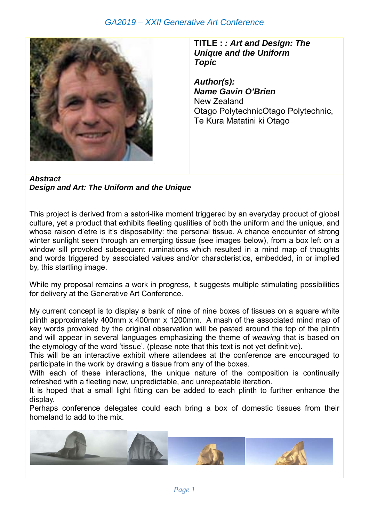## *GA2019 – XXII Generative Art Conference*



**TITLE :** *: Art and Design: The Unique and the Uniform Topic* 

*Author(s): Name Gavin O'Brien*  New Zealand Otago PolytechnicOtago Polytechnic, Te Kura Matatini ki Otago

*Abstract Design and Art: The Uniform and the Unique* 

This project is derived from a satori-like moment triggered by an everyday product of global culture, yet a product that exhibits fleeting qualities of both the uniform and the unique, and whose raison d'etre is it's disposability: the personal tissue. A chance encounter of strong winter sunlight seen through an emerging tissue (see images below), from a box left on a window sill provoked subsequent ruminations which resulted in a mind map of thoughts and words triggered by associated values and/or characteristics, embedded, in or implied by, this startling image.

While my proposal remains a work in progress, it suggests multiple stimulating possibilities for delivery at the Generative Art Conference.

My current concept is to display a bank of nine of nine boxes of tissues on a square white plinth approximately 400mm x 400mm x 1200mm. A mash of the associated mind map of key words provoked by the original observation will be pasted around the top of the plinth and will appear in several languages emphasizing the theme of *weaving* that is based on the etymology of the word 'tissue'. (please note that this text is not yet definitive).

This will be an interactive exhibit where attendees at the conference are encouraged to participate in the work by drawing a tissue from any of the boxes.

With each of these interactions, the unique nature of the composition is continually refreshed with a fleeting new, unpredictable, and unrepeatable iteration.

It is hoped that a small light fitting can be added to each plinth to further enhance the display.

Perhaps conference delegates could each bring a box of domestic tissues from their homeland to add to the mix.